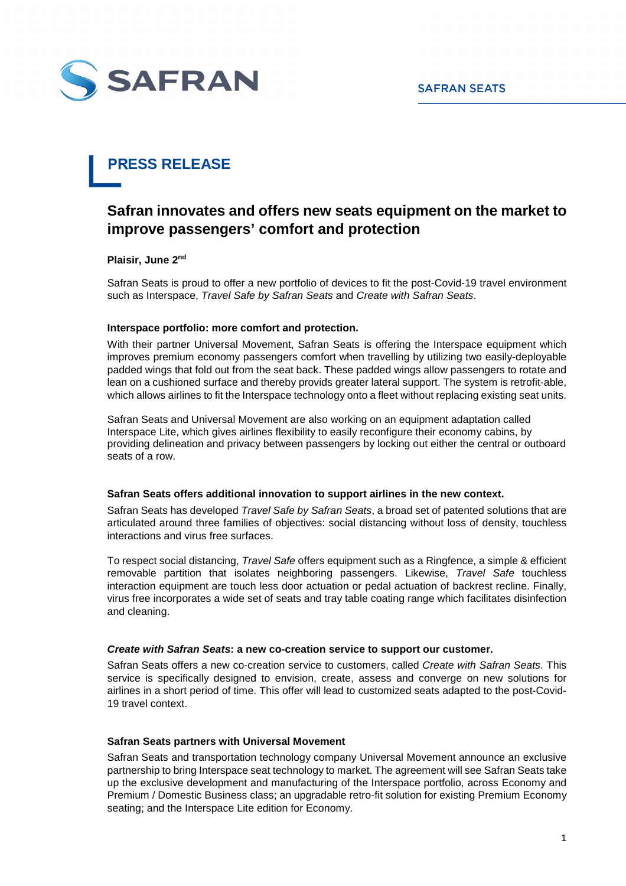

# **PRESS RELEASE**

## **Safran innovates and offers new seats equipment on the market to improve passengers' comfort and protection**

### **Plaisir, June 2nd**

Safran Seats is proud to offer a new portfolio of devices to fit the post-Covid-19 travel environment such as Interspace, Travel Safe by Safran Seats and Create with Safran Seats.

#### **Interspace portfolio: more comfort and protection.**

With their partner Universal Movement, Safran Seats is offering the Interspace equipment which improves premium economy passengers comfort when travelling by utilizing two easily-deployable padded wings that fold out from the seat back. These padded wings allow passengers to rotate and lean on a cushioned surface and thereby provids greater lateral support. The system is retrofit-able, which allows airlines to fit the Interspace technology onto a fleet without replacing existing seat units.

Safran Seats and Universal Movement are also working on an equipment adaptation called Interspace Lite, which gives airlines flexibility to easily reconfigure their economy cabins, by providing delineation and privacy between passengers by locking out either the central or outboard seats of a row.

#### **Safran Seats offers additional innovation to support airlines in the new context.**

Safran Seats has developed Travel Safe by Safran Seats, a broad set of patented solutions that are articulated around three families of objectives: social distancing without loss of density, touchless interactions and virus free surfaces.

To respect social distancing, *Travel Safe* offers equipment such as a Ringfence, a simple & efficient removable partition that isolates neighboring passengers. Likewise, Travel Safe touchless interaction equipment are touch less door actuation or pedal actuation of backrest recline. Finally, virus free incorporates a wide set of seats and tray table coating range which facilitates disinfection and cleaning.

#### **Create with Safran Seats: a new co-creation service to support our customer.**

Safran Seats offers a new co-creation service to customers, called Create with Safran Seats. This service is specifically designed to envision, create, assess and converge on new solutions for airlines in a short period of time. This offer will lead to customized seats adapted to the post-Covid-19 travel context.

#### **Safran Seats partners with Universal Movement**

Safran Seats and transportation technology company Universal Movement announce an exclusive partnership to bring Interspace seat technology to market. The agreement will see Safran Seats take up the exclusive development and manufacturing of the Interspace portfolio, across Economy and Premium / Domestic Business class; an upgradable retro-fit solution for existing Premium Economy seating; and the Interspace Lite edition for Economy.